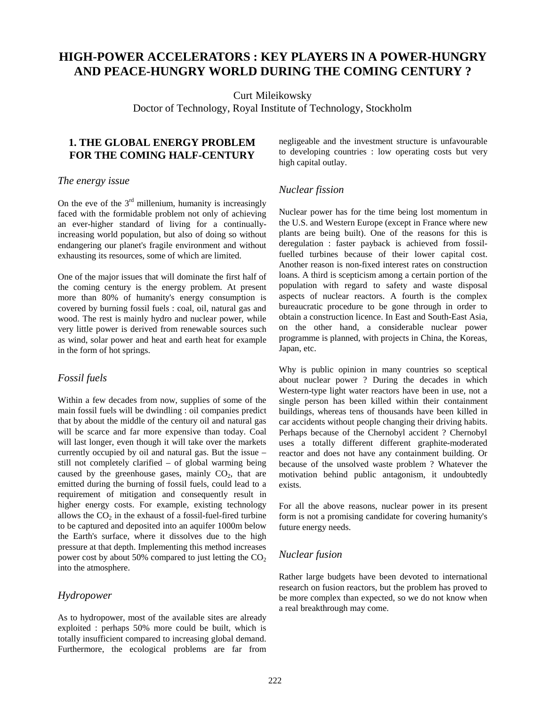# **HIGH-POWER ACCELERATORS : KEY PLAYERS IN A POWER-HUNGRY AND PEACE-HUNGRY WORLD DURING THE COMING CENTURY ?**

Curt Mileikowsky

Doctor of Technology, Royal Institute of Technology, Stockholm

## **1. THE GLOBAL ENERGY PROBLEM FOR THE COMING HALF-CENTURY**

### *The energy issue*

On the eve of the  $3<sup>rd</sup>$  millenium, humanity is increasingly faced with the formidable problem not only of achieving an ever-higher standard of living for a continuallyincreasing world population, but also of doing so without endangering our planet's fragile environment and without exhausting its resources, some of which are limited.

One of the major issues that will dominate the first half of the coming century is the energy problem. At present more than 80% of humanity's energy consumption is covered by burning fossil fuels : coal, oil, natural gas and wood. The rest is mainly hydro and nuclear power, while very little power is derived from renewable sources such as wind, solar power and heat and earth heat for example in the form of hot springs.

### *Fossil fuels*

Within a few decades from now, supplies of some of the main fossil fuels will be dwindling : oil companies predict that by about the middle of the century oil and natural gas will be scarce and far more expensive than today. Coal will last longer, even though it will take over the markets currently occupied by oil and natural gas. But the issue – still not completely clarified – of global warming being caused by the greenhouse gases, mainly  $CO<sub>2</sub>$ , that are emitted during the burning of fossil fuels, could lead to a requirement of mitigation and consequently result in higher energy costs. For example, existing technology allows the  $CO<sub>2</sub>$  in the exhaust of a fossil-fuel-fired turbine to be captured and deposited into an aquifer 1000m below the Earth's surface, where it dissolves due to the high pressure at that depth. Implementing this method increases power cost by about 50% compared to just letting the  $CO<sub>2</sub>$ into the atmosphere.

#### *Hydropower*

As to hydropower, most of the available sites are already exploited : perhaps 50% more could be built, which is totally insufficient compared to increasing global demand. Furthermore, the ecological problems are far from negligeable and the investment structure is unfavourable to developing countries : low operating costs but very high capital outlay.

### *Nuclear fission*

Nuclear power has for the time being lost momentum in the U.S. and Western Europe (except in France where new plants are being built). One of the reasons for this is deregulation : faster payback is achieved from fossilfuelled turbines because of their lower capital cost. Another reason is non-fixed interest rates on construction loans. A third is scepticism among a certain portion of the population with regard to safety and waste disposal aspects of nuclear reactors. A fourth is the complex bureaucratic procedure to be gone through in order to obtain a construction licence. In East and South-East Asia, on the other hand, a considerable nuclear power programme is planned, with projects in China, the Koreas, Japan, etc.

Why is public opinion in many countries so sceptical about nuclear power ? During the decades in which Western-type light water reactors have been in use, not a single person has been killed within their containment buildings, whereas tens of thousands have been killed in car accidents without people changing their driving habits. Perhaps because of the Chernobyl accident ? Chernobyl uses a totally different different graphite-moderated reactor and does not have any containment building. Or because of the unsolved waste problem ? Whatever the motivation behind public antagonism, it undoubtedly exists.

For all the above reasons, nuclear power in its present form is not a promising candidate for covering humanity's future energy needs.

### *Nuclear fusion*

Rather large budgets have been devoted to international research on fusion reactors, but the problem has proved to be more complex than expected, so we do not know when a real breakthrough may come.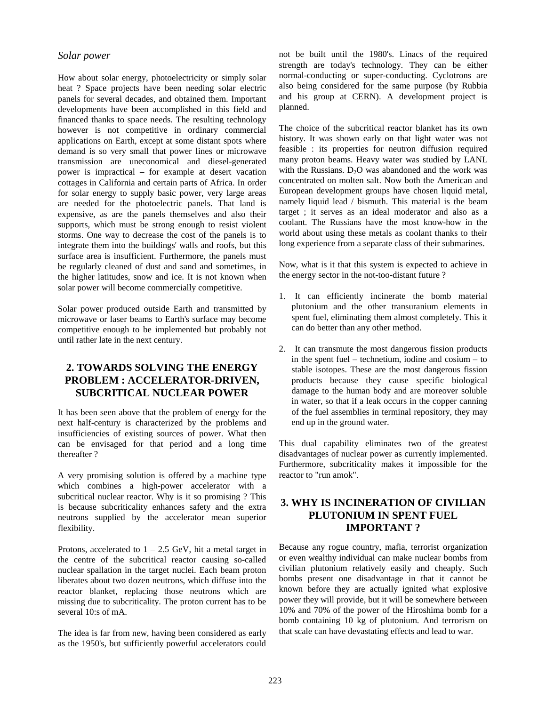#### *Solar power*

How about solar energy, photoelectricity or simply solar heat ? Space projects have been needing solar electric panels for several decades, and obtained them. Important developments have been accomplished in this field and financed thanks to space needs. The resulting technology however is not competitive in ordinary commercial applications on Earth, except at some distant spots where demand is so very small that power lines or microwave transmission are uneconomical and diesel-generated power is impractical – for example at desert vacation cottages in California and certain parts of Africa. In order for solar energy to supply basic power, very large areas are needed for the photoelectric panels. That land is expensive, as are the panels themselves and also their supports, which must be strong enough to resist violent storms. One way to decrease the cost of the panels is to integrate them into the buildings' walls and roofs, but this surface area is insufficient. Furthermore, the panels must be regularly cleaned of dust and sand and sometimes, in the higher latitudes, snow and ice. It is not known when solar power will become commercially competitive.

Solar power produced outside Earth and transmitted by microwave or laser beams to Earth's surface may become competitive enough to be implemented but probably not until rather late in the next century.

## **2. TOWARDS SOLVING THE ENERGY PROBLEM : ACCELERATOR-DRIVEN, SUBCRITICAL NUCLEAR POWER**

It has been seen above that the problem of energy for the next half-century is characterized by the problems and insufficiencies of existing sources of power. What then can be envisaged for that period and a long time thereafter ?

A very promising solution is offered by a machine type which combines a high-power accelerator with a subcritical nuclear reactor. Why is it so promising ? This is because subcriticality enhances safety and the extra neutrons supplied by the accelerator mean superior flexibility.

Protons, accelerated to  $1 - 2.5$  GeV, hit a metal target in the centre of the subcritical reactor causing so-called nuclear spallation in the target nuclei. Each beam proton liberates about two dozen neutrons, which diffuse into the reactor blanket, replacing those neutrons which are missing due to subcriticality. The proton current has to be several 10:s of mA.

The idea is far from new, having been considered as early as the 1950's, but sufficiently powerful accelerators could not be built until the 1980's. Linacs of the required strength are today's technology. They can be either normal-conducting or super-conducting. Cyclotrons are also being considered for the same purpose (by Rubbia and his group at CERN). A development project is planned.

The choice of the subcritical reactor blanket has its own history. It was shown early on that light water was not feasible : its properties for neutron diffusion required many proton beams. Heavy water was studied by LANL with the Russians.  $D_2O$  was abandoned and the work was concentrated on molten salt. Now both the American and European development groups have chosen liquid metal, namely liquid lead / bismuth. This material is the beam target ; it serves as an ideal moderator and also as a coolant. The Russians have the most know-how in the world about using these metals as coolant thanks to their long experience from a separate class of their submarines.

Now, what is it that this system is expected to achieve in the energy sector in the not-too-distant future ?

- 1. It can efficiently incinerate the bomb material plutonium and the other transuranium elements in spent fuel, eliminating them almost completely. This it can do better than any other method.
- 2. It can transmute the most dangerous fission products in the spent fuel – technetium, iodine and cosium – to stable isotopes. These are the most dangerous fission products because they cause specific biological damage to the human body and are moreover soluble in water, so that if a leak occurs in the copper canning of the fuel assemblies in terminal repository, they may end up in the ground water.

This dual capability eliminates two of the greatest disadvantages of nuclear power as currently implemented. Furthermore, subcriticality makes it impossible for the reactor to "run amok".

## **3. WHY IS INCINERATION OF CIVILIAN PLUTONIUM IN SPENT FUEL IMPORTANT ?**

Because any rogue country, mafia, terrorist organization or even wealthy individual can make nuclear bombs from civilian plutonium relatively easily and cheaply. Such bombs present one disadvantage in that it cannot be known before they are actually ignited what explosive power they will provide, but it will be somewhere between 10% and 70% of the power of the Hiroshima bomb for a bomb containing 10 kg of plutonium. And terrorism on that scale can have devastating effects and lead to war.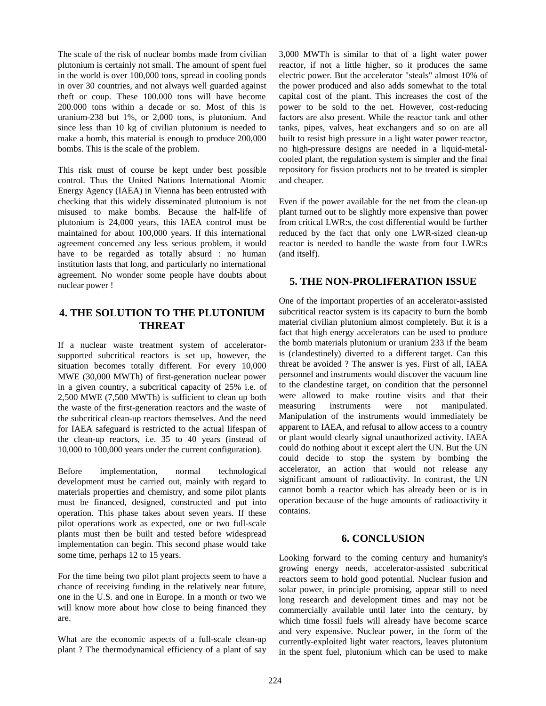The scale of the risk of nuclear bombs made from civilian plutonium is certainly not small. The amount of spent fuel in the world is over 100,000 tons, spread in cooling ponds in over 30 countries, and not always well guarded against theft or coup. These 100.000 tons will have become 200.000 tons within a decade or so. Most of this is uranium-238 but 1%, or 2,000 tons, is plutonium. And since less than 10 kg of civilian plutonium is needed to make a bomb, this material is enough to produce 200,000 bombs. This is the scale of the problem.

This risk must of course be kept under best possible control. Thus the United Nations International Atomic Energy Agency (IAEA) in Vienna has been entrusted with checking that this widely disseminated plutonium is not misused to make bombs. Because the half-life of plutonium is 24,000 years, this IAEA control must be maintained for about 100,000 years. If this international agreement concerned any less serious problem, it would have to be regarded as totally absurd : no human institution lasts that long, and particularly no international agreement. No wonder some people have doubts about nuclear power !

## **4. THE SOLUTION TO THE PLUTONIUM THREAT**

If a nuclear waste treatment system of acceleratorsupported subcritical reactors is set up, however, the situation becomes totally different. For every 10,000 MWE (30,000 MWTh) of first-generation nuclear power in a given country, a subcritical capacity of 25% i.e. of 2,500 MWE (7,500 MWTh) is sufficient to clean up both the waste of the first-generation reactors and the waste of the subcritical clean-up reactors themselves. And the need for IAEA safeguard is restricted to the actual lifespan of the clean-up reactors, i.e. 35 to 40 years (instead of 10,000 to 100,000 years under the current configuration).

Before implementation, normal technological development must be carried out, mainly with regard to materials properties and chemistry, and some pilot plants must be financed, designed, constructed and put into operation. This phase takes about seven years. If these pilot operations work as expected, one or two full-scale plants must then be built and tested before widespread implementation can begin. This second phase would take some time, perhaps 12 to 15 years.

For the time being two pilot plant projects seem to have a chance of receiving funding in the relatively near future, one in the U.S. and one in Europe. In a month or two we will know more about how close to being financed they are.

What are the economic aspects of a full-scale clean-up plant ? The thermodynamical efficiency of a plant of say

3,000 MWTh is similar to that of a light water power reactor, if not a little higher, so it produces the same electric power. But the accelerator "steals" almost 10% of the power produced and also adds somewhat to the total capital cost of the plant. This increases the cost of the power to be sold to the net. However, cost-reducing factors are also present. While the reactor tank and other tanks, pipes, valves, heat exchangers and so on are all built to resist high pressure in a light water power reactor, no high-pressure designs are needed in a liquid-metalcooled plant, the regulation system is simpler and the final repository for fission products not to be treated is simpler and cheaper.

Even if the power available for the net from the clean-up plant turned out to be slightly more expensive than power from critical LWR:s, the cost differential would be further reduced by the fact that only one LWR-sized clean-up reactor is needed to handle the waste from four LWR:s (and itself).

## **5. THE NON-PROLIFERATION ISSUE**

One of the important properties of an accelerator-assisted subcritical reactor system is its capacity to burn the bomb material civilian plutonium almost completely. But it is a fact that high energy accelerators can be used to produce the bomb materials plutonium or uranium 233 if the beam is (clandestinely) diverted to a different target. Can this threat be avoided ? The answer is yes. First of all, IAEA personnel and instruments would discover the vacuum line to the clandestine target, on condition that the personnel were allowed to make routine visits and that their measuring instruments were not manipulated. Manipulation of the instruments would immediately be apparent to IAEA, and refusal to allow access to a country or plant would clearly signal unauthorized activity. IAEA could do nothing about it except alert the UN. But the UN could decide to stop the system by bombing the accelerator, an action that would not release any significant amount of radioactivity. In contrast, the UN cannot bomb a reactor which has already been or is in operation because of the huge amounts of radioactivity it contains.

### **6. CONCLUSION**

Looking forward to the coming century and humanity's growing energy needs, accelerator-assisted subcritical reactors seem to hold good potential. Nuclear fusion and solar power, in principle promising, appear still to need long research and development times and may not be commercially available until later into the century, by which time fossil fuels will already have become scarce and very expensive. Nuclear power, in the form of the currently-exploited light water reactors, leaves plutonium in the spent fuel, plutonium which can be used to make